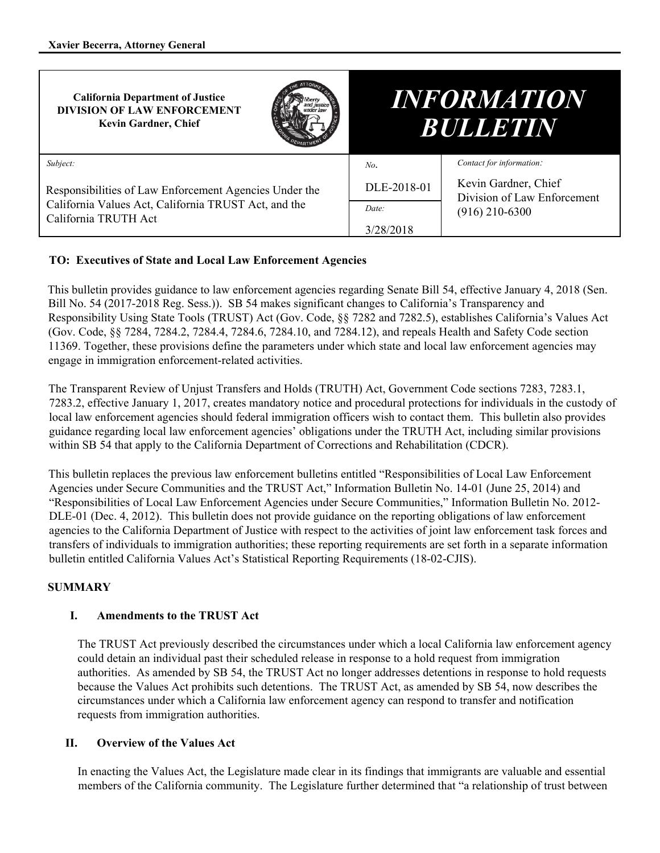| <b>California Department of Justice</b><br><b>DIVISION OF LAW ENFORCEMENT</b><br><b>Kevin Gardner, Chief</b>                           |             | <i><b>INFORMATION</b></i><br><b>BULLETIN</b>        |                          |
|----------------------------------------------------------------------------------------------------------------------------------------|-------------|-----------------------------------------------------|--------------------------|
| Subject:                                                                                                                               |             | No.                                                 | Contact for information: |
| Responsibilities of Law Enforcement Agencies Under the<br>California Values Act, California TRUST Act, and the<br>California TRUTH Act | DLE-2018-01 | Kevin Gardner, Chief<br>Division of Law Enforcement |                          |
|                                                                                                                                        |             | Date:                                               | $(916)$ 210-6300         |
|                                                                                                                                        |             | 3/28/2018                                           |                          |

## **TO: Executives of State and Local Law Enforcement Agencies**

This bulletin provides guidance to law enforcement agencies regarding Senate Bill 54, effective January 4, 2018 (Sen. Bill No. 54 (2017-2018 Reg. Sess.)). SB 54 makes significant changes to California's Transparency and Responsibility Using State Tools (TRUST) Act (Gov. Code, §§ 7282 and 7282.5), establishes California's Values Act (Gov. Code, §§ 7284, 7284.2, 7284.4, 7284.6, 7284.10, and 7284.12), and repeals Health and Safety Code section 11369. Together, these provisions define the parameters under which state and local law enforcement agencies may engage in immigration enforcement-related activities.

The Transparent Review of Unjust Transfers and Holds (TRUTH) Act, Government Code sections 7283, 7283.1, 7283.2, effective January 1, 2017, creates mandatory notice and procedural protections for individuals in the custody of local law enforcement agencies should federal immigration officers wish to contact them. This bulletin also provides guidance regarding local law enforcement agencies' obligations under the TRUTH Act, including similar provisions within SB 54 that apply to the California Department of Corrections and Rehabilitation (CDCR).

This bulletin replaces the previous law enforcement bulletins entitled "Responsibilities of Local Law Enforcement Agencies under Secure Communities and the TRUST Act," Information Bulletin No. 14-01 (June 25, 2014) and "Responsibilities of Local Law Enforcement Agencies under Secure Communities," Information Bulletin No. 2012- DLE-01 (Dec. 4, 2012). This bulletin does not provide guidance on the reporting obligations of law enforcement agencies to the California Department of Justice with respect to the activities of joint law enforcement task forces and transfers of individuals to immigration authorities; these reporting requirements are set forth in a separate information bulletin entitled California Values Act's Statistical Reporting Requirements (18-02-CJIS).

## **SUMMARY**

## **I. Amendments to the TRUST Act**

The TRUST Act previously described the circumstances under which a local California law enforcement agency could detain an individual past their scheduled release in response to a hold request from immigration authorities. As amended by SB 54, the TRUST Act no longer addresses detentions in response to hold requests because the Values Act prohibits such detentions. The TRUST Act, as amended by SB 54, now describes the circumstances under which a California law enforcement agency can respond to transfer and notification requests from immigration authorities.

## **II. Overview of the Values Act**

In enacting the Values Act, the Legislature made clear in its findings that immigrants are valuable and essential members of the California community. The Legislature further determined that "a relationship of trust between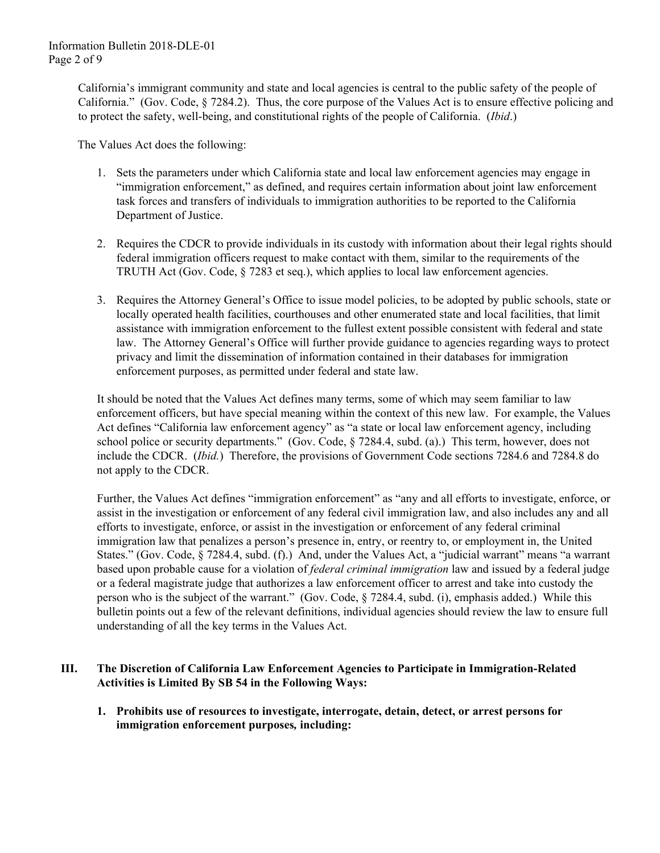California's immigrant community and state and local agencies is central to the public safety of the people of California." (Gov. Code, § 7284.2). Thus, the core purpose of the Values Act is to ensure effective policing and to protect the safety, well-being, and constitutional rights of the people of California. (*Ibid*.)

The Values Act does the following:

- 1. Sets the parameters under which California state and local law enforcement agencies may engage in "immigration enforcement," as defined, and requires certain information about joint law enforcement task forces and transfers of individuals to immigration authorities to be reported to the California Department of Justice.
- 2. Requires the CDCR to provide individuals in its custody with information about their legal rights should federal immigration officers request to make contact with them, similar to the requirements of the TRUTH Act (Gov. Code, § 7283 et seq.), which applies to local law enforcement agencies.
- 3. Requires the Attorney General's Office to issue model policies, to be adopted by public schools, state or locally operated health facilities, courthouses and other enumerated state and local facilities, that limit assistance with immigration enforcement to the fullest extent possible consistent with federal and state law. The Attorney General's Office will further provide guidance to agencies regarding ways to protect privacy and limit the dissemination of information contained in their databases for immigration enforcement purposes, as permitted under federal and state law.

It should be noted that the Values Act defines many terms, some of which may seem familiar to law enforcement officers, but have special meaning within the context of this new law. For example, the Values Act defines "California law enforcement agency" as "a state or local law enforcement agency, including school police or security departments." (Gov. Code, § 7284.4, subd. (a).) This term, however, does not include the CDCR. (*Ibid.*) Therefore, the provisions of Government Code sections 7284.6 and 7284.8 do not apply to the CDCR.

Further, the Values Act defines "immigration enforcement" as "any and all efforts to investigate, enforce, or assist in the investigation or enforcement of any federal civil immigration law, and also includes any and all efforts to investigate, enforce, or assist in the investigation or enforcement of any federal criminal immigration law that penalizes a person's presence in, entry, or reentry to, or employment in, the United States." (Gov. Code, § 7284.4, subd. (f).) And, under the Values Act, a "judicial warrant" means "a warrant based upon probable cause for a violation of *federal criminal immigration* law and issued by a federal judge or a federal magistrate judge that authorizes a law enforcement officer to arrest and take into custody the person who is the subject of the warrant." (Gov. Code, § 7284.4, subd. (i), emphasis added.) While this bulletin points out a few of the relevant definitions, individual agencies should review the law to ensure full understanding of all the key terms in the Values Act.

## **III. The Discretion of California Law Enforcement Agencies to Participate in Immigration-Related Activities is Limited By SB 54 in the Following Ways:**

**1. Prohibits use of resources to investigate, interrogate, detain, detect, or arrest persons for immigration enforcement purposes***,* **including:**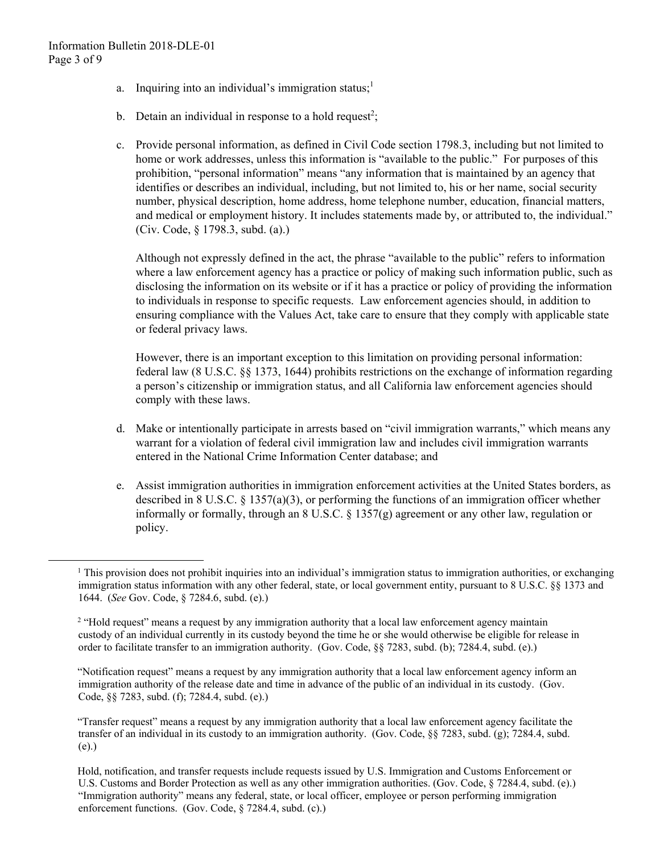$\overline{a}$ 

- a. Inquiring into an individual's immigration status; $<sup>1</sup>$ </sup>
- b. Detain an individual in response to a hold request<sup>2</sup>;
- c. Provide personal information, as defined in Civil Code section 1798.3, including but not limited to home or work addresses, unless this information is "available to the public." For purposes of this prohibition, "personal information" means "any information that is maintained by an agency that identifies or describes an individual, including, but not limited to, his or her name, social security number, physical description, home address, home telephone number, education, financial matters, and medical or employment history. It includes statements made by, or attributed to, the individual." (Civ. Code, § 1798.3, subd. (a).)

Although not expressly defined in the act, the phrase "available to the public" refers to information where a law enforcement agency has a practice or policy of making such information public, such as disclosing the information on its website or if it has a practice or policy of providing the information to individuals in response to specific requests. Law enforcement agencies should, in addition to ensuring compliance with the Values Act, take care to ensure that they comply with applicable state or federal privacy laws.

However, there is an important exception to this limitation on providing personal information: federal law (8 U.S.C. §§ 1373, 1644) prohibits restrictions on the exchange of information regarding a person's citizenship or immigration status, and all California law enforcement agencies should comply with these laws.

- d. Make or intentionally participate in arrests based on "civil immigration warrants," which means any warrant for a violation of federal civil immigration law and includes civil immigration warrants entered in the National Crime Information Center database; and
- e. Assist immigration authorities in immigration enforcement activities at the United States borders, as described in 8 U.S.C. § 1357(a)(3), or performing the functions of an immigration officer whether informally or formally, through an 8 U.S.C. § 1357(g) agreement or any other law, regulation or policy.

 immigration status information with any other federal, state, or local government entity, pursuant to 8 U.S.C. §§ 1373 and <sup>1</sup> This provision does not prohibit inquiries into an individual's immigration status to immigration authorities, or exchanging 1644. (*See* Gov. Code, § 7284.6, subd. (e).)

<sup>&</sup>lt;sup>2</sup> "Hold request" means a request by any immigration authority that a local law enforcement agency maintain custody of an individual currently in its custody beyond the time he or she would otherwise be eligible for release in order to facilitate transfer to an immigration authority. (Gov. Code, §§ 7283, subd. (b); 7284.4, subd. (e).)

<sup>&</sup>quot;Notification request" means a request by any immigration authority that a local law enforcement agency inform an immigration authority of the release date and time in advance of the public of an individual in its custody. (Gov. Code, §§ 7283, subd. (f); 7284.4, subd. (e).)

<sup>&</sup>quot;Transfer request" means a request by any immigration authority that a local law enforcement agency facilitate the transfer of an individual in its custody to an immigration authority. (Gov. Code, §§ 7283, subd. (g); 7284.4, subd. (e).)

 "Immigration authority" means any federal, state, or local officer, employee or person performing immigration enforcement functions. (Gov. Code, § 7284.4, subd. (c).) Hold, notification, and transfer requests include requests issued by U.S. Immigration and Customs Enforcement or U.S. Customs and Border Protection as well as any other immigration authorities. (Gov. Code, § 7284.4, subd. (e).)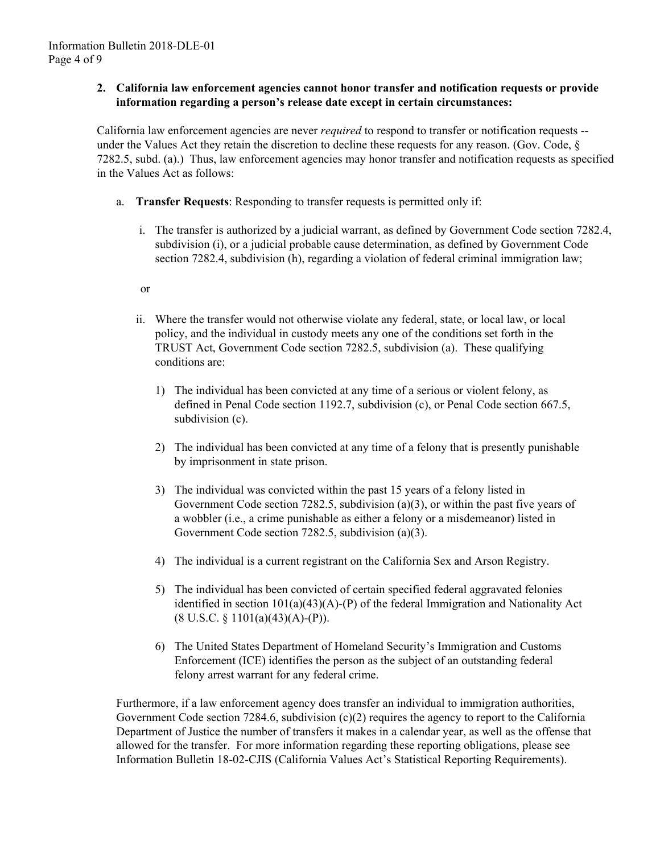### **2. California law enforcement agencies cannot honor transfer and notification requests or provide information regarding a person's release date except in certain circumstances:**

California law enforcement agencies are never *required* to respond to transfer or notification requests - under the Values Act they retain the discretion to decline these requests for any reason. (Gov. Code, § 7282.5, subd. (a).) Thus, law enforcement agencies may honor transfer and notification requests as specified in the Values Act as follows:

- a. **Transfer Requests**: Responding to transfer requests is permitted only if:
	- i. The transfer is authorized by a judicial warrant, as defined by Government Code section 7282.4, subdivision (i), or a judicial probable cause determination, as defined by Government Code section 7282.4, subdivision (h), regarding a violation of federal criminal immigration law;

or

- ii. Where the transfer would not otherwise violate any federal, state, or local law, or local policy, and the individual in custody meets any one of the conditions set forth in the TRUST Act, Government Code section 7282.5, subdivision (a). These qualifying conditions are:
	- 1) The individual has been convicted at any time of a serious or violent felony, as defined in Penal Code section 1192.7, subdivision (c), or Penal Code section 667.5, subdivision (c).
	- 2) The individual has been convicted at any time of a felony that is presently punishable by imprisonment in state prison.
	- 3) The individual was convicted within the past 15 years of a felony listed in Government Code section 7282.5, subdivision (a)(3), or within the past five years of a wobbler (i.e., a crime punishable as either a felony or a misdemeanor) listed in Government Code section 7282.5, subdivision (a)(3).
	- 4) The individual is a current registrant on the California Sex and Arson Registry.
	- 5) The individual has been convicted of certain specified federal aggravated felonies identified in section 101(a)(43)(A)-(P) of the federal Immigration and Nationality Act  $(8 \text{ U.S.C. } \S 1101(a)(43)(A) - (P)).$
	- 6) The United States Department of Homeland Security's Immigration and Customs Enforcement (ICE) identifies the person as the subject of an outstanding federal felony arrest warrant for any federal crime.

Furthermore, if a law enforcement agency does transfer an individual to immigration authorities, Government Code section 7284.6, subdivision  $(c)(2)$  requires the agency to report to the California Department of Justice the number of transfers it makes in a calendar year, as well as the offense that allowed for the transfer. For more information regarding these reporting obligations, please see Information Bulletin 18-02-CJIS (California Values Act's Statistical Reporting Requirements).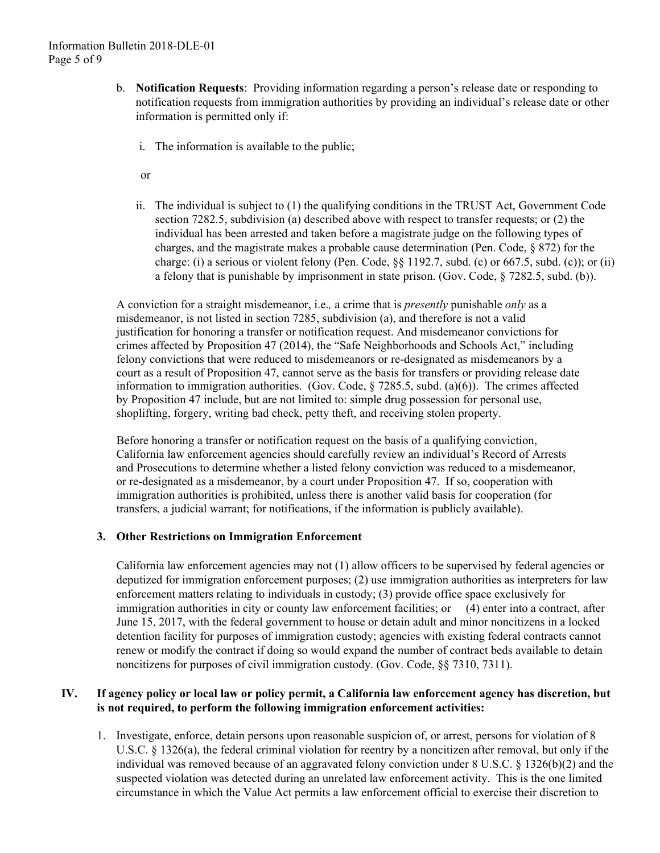- b. **Notification Requests**: Providing information regarding a person's release date or responding to notification requests from immigration authorities by providing an individual's release date or other information is permitted only if:
	- i. The information is available to the public;
	- or
	- ii. The individual is subject to (1) the qualifying conditions in the TRUST Act, Government Code section 7282.5, subdivision (a) described above with respect to transfer requests; or (2) the individual has been arrested and taken before a magistrate judge on the following types of charges, and the magistrate makes a probable cause determination (Pen. Code, § 872) for the charge: (i) a serious or violent felony (Pen. Code,  $\S$ § 1192.7, subd. (c) or 667.5, subd. (c)); or (ii) a felony that is punishable by imprisonment in state prison. (Gov. Code, § 7282.5, subd. (b)).

A conviction for a straight misdemeanor, i.e.*,* a crime that is *presently* punishable *only* as a misdemeanor, is not listed in section 7285, subdivision (a), and therefore is not a valid justification for honoring a transfer or notification request. And misdemeanor convictions for crimes affected by Proposition 47 (2014), the "Safe Neighborhoods and Schools Act," including felony convictions that were reduced to misdemeanors or re-designated as misdemeanors by a court as a result of Proposition 47, cannot serve as the basis for transfers or providing release date information to immigration authorities. (Gov. Code, § 7285.5, subd. (a)(6)). The crimes affected by Proposition 47 include, but are not limited to: simple drug possession for personal use, shoplifting, forgery, writing bad check, petty theft, and receiving stolen property.

Before honoring a transfer or notification request on the basis of a qualifying conviction, California law enforcement agencies should carefully review an individual's Record of Arrests and Prosecutions to determine whether a listed felony conviction was reduced to a misdemeanor, or re-designated as a misdemeanor, by a court under Proposition 47. If so, cooperation with immigration authorities is prohibited, unless there is another valid basis for cooperation (for transfers, a judicial warrant; for notifications, if the information is publicly available).

### **3. Other Restrictions on Immigration Enforcement**

immigration authorities in city or county law enforcement facilities; or (4) enter into a contract, after California law enforcement agencies may not (1) allow officers to be supervised by federal agencies or deputized for immigration enforcement purposes; (2) use immigration authorities as interpreters for law enforcement matters relating to individuals in custody; (3) provide office space exclusively for June 15, 2017, with the federal government to house or detain adult and minor noncitizens in a locked detention facility for purposes of immigration custody; agencies with existing federal contracts cannot renew or modify the contract if doing so would expand the number of contract beds available to detain noncitizens for purposes of civil immigration custody. (Gov. Code, §§ 7310, 7311).

## **IV. If agency policy or local law or policy permit, a California law enforcement agency has discretion, but is not required, to perform the following immigration enforcement activities:**

1. Investigate, enforce, detain persons upon reasonable suspicion of, or arrest, persons for violation of 8 U.S.C. § 1326(a), the federal criminal violation for reentry by a noncitizen after removal, but only if the individual was removed because of an aggravated felony conviction under 8 U.S.C. § 1326(b)(2) and the suspected violation was detected during an unrelated law enforcement activity. This is the one limited circumstance in which the Value Act permits a law enforcement official to exercise their discretion to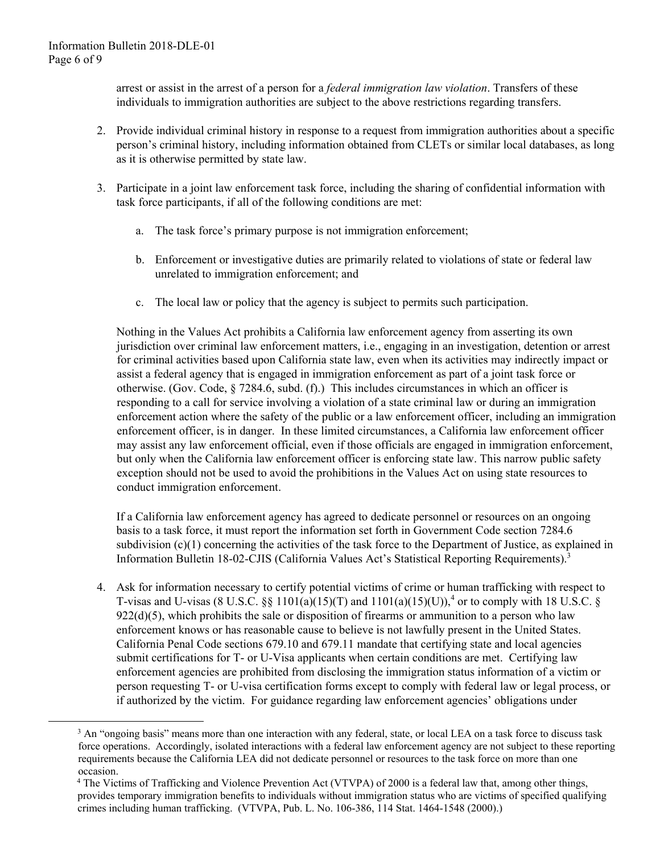$\overline{a}$ 

arrest or assist in the arrest of a person for a *federal immigration law violation*. Transfers of these individuals to immigration authorities are subject to the above restrictions regarding transfers.

- 2. Provide individual criminal history in response to a request from immigration authorities about a specific person's criminal history, including information obtained from CLETs or similar local databases, as long as it is otherwise permitted by state law.
- 3. Participate in a joint law enforcement task force, including the sharing of confidential information with task force participants, if all of the following conditions are met:
	- a. The task force's primary purpose is not immigration enforcement;
	- b. Enforcement or investigative duties are primarily related to violations of state or federal law unrelated to immigration enforcement; and
	- c. The local law or policy that the agency is subject to permits such participation.

Nothing in the Values Act prohibits a California law enforcement agency from asserting its own jurisdiction over criminal law enforcement matters, i.e., engaging in an investigation, detention or arrest for criminal activities based upon California state law, even when its activities may indirectly impact or assist a federal agency that is engaged in immigration enforcement as part of a joint task force or otherwise. (Gov. Code, § 7284.6, subd. (f).) This includes circumstances in which an officer is responding to a call for service involving a violation of a state criminal law or during an immigration enforcement action where the safety of the public or a law enforcement officer, including an immigration enforcement officer, is in danger. In these limited circumstances, a California law enforcement officer may assist any law enforcement official, even if those officials are engaged in immigration enforcement, but only when the California law enforcement officer is enforcing state law. This narrow public safety exception should not be used to avoid the prohibitions in the Values Act on using state resources to conduct immigration enforcement.

Information Bulletin 18-02-CJIS (California Values Act's Statistical Reporting Requirements).<sup>3</sup> If a California law enforcement agency has agreed to dedicate personnel or resources on an ongoing basis to a task force, it must report the information set forth in Government Code section 7284.6 subdivision (c)(1) concerning the activities of the task force to the Department of Justice, as explained in

4. Ask for information necessary to certify potential victims of crime or human trafficking with respect to T-visas and U-visas (8 U.S.C. §§ 1101(a)(15)(T) and  $1101(a)(15)(U)$ ,<sup>4</sup> or to comply with 18 U.S.C. §  $922(d)(5)$ , which prohibits the sale or disposition of firearms or ammunition to a person who law enforcement knows or has reasonable cause to believe is not lawfully present in the United States. California Penal Code sections 679.10 and 679.11 mandate that certifying state and local agencies submit certifications for T- or U-Visa applicants when certain conditions are met. Certifying law enforcement agencies are prohibited from disclosing the immigration status information of a victim or person requesting T- or U-visa certification forms except to comply with federal law or legal process, or if authorized by the victim. For guidance regarding law enforcement agencies' obligations under

<sup>&</sup>lt;sup>3</sup> An "ongoing basis" means more than one interaction with any federal, state, or local LEA on a task force to discuss task force operations. Accordingly, isolated interactions with a federal law enforcement agency are not subject to these reporting requirements because the California LEA did not dedicate personnel or resources to the task force on more than one occasion.

<sup>4</sup> The Victims of Trafficking and Violence Prevention Act (VTVPA) of 2000 is a federal law that, among other things, provides temporary immigration benefits to individuals without immigration status who are victims of specified qualifying crimes including human trafficking. (VTVPA, Pub. L. No. 106-386, 114 Stat. 1464-1548 (2000).)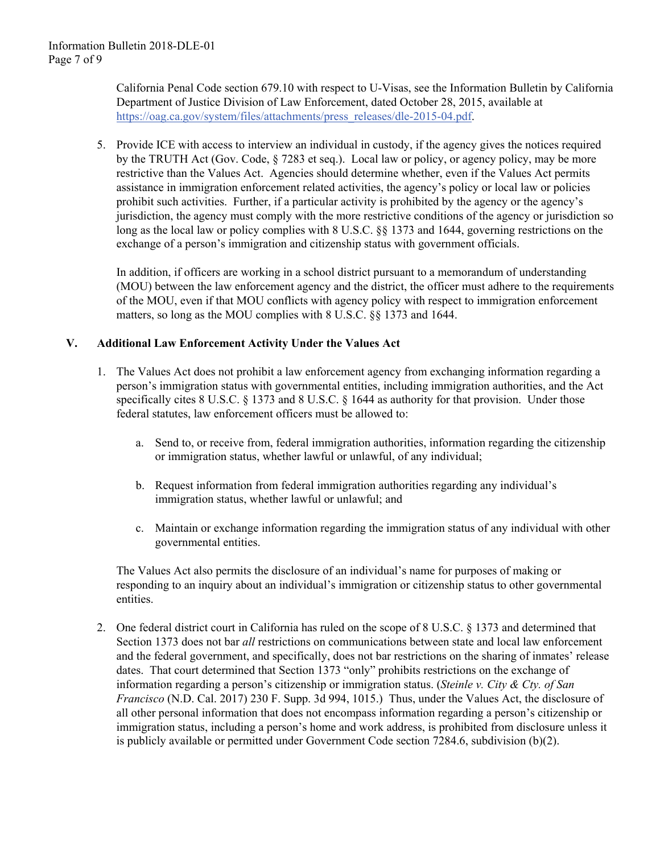California Penal Code section 679.10 with respect to U-Visas, see the Information Bulletin by California Department of Justice Division of Law Enforcement, dated October 28, 2015, available at https://oag.ca.gov/system/files/attachments/press\_releases/dle-2015-04.pdf.

5. Provide ICE with access to interview an individual in custody, if the agency gives the notices required by the TRUTH Act (Gov. Code, § 7283 et seq.). Local law or policy, or agency policy, may be more restrictive than the Values Act. Agencies should determine whether, even if the Values Act permits assistance in immigration enforcement related activities, the agency's policy or local law or policies prohibit such activities. Further, if a particular activity is prohibited by the agency or the agency's jurisdiction, the agency must comply with the more restrictive conditions of the agency or jurisdiction so long as the local law or policy complies with 8 U.S.C. §§ 1373 and 1644, governing restrictions on the exchange of a person's immigration and citizenship status with government officials.

In addition, if officers are working in a school district pursuant to a memorandum of understanding (MOU) between the law enforcement agency and the district, the officer must adhere to the requirements of the MOU, even if that MOU conflicts with agency policy with respect to immigration enforcement matters, so long as the MOU complies with 8 U.S.C. §§ 1373 and 1644.

### **V. Additional Law Enforcement Activity Under the Values Act**

- 1. The Values Act does not prohibit a law enforcement agency from exchanging information regarding a person's immigration status with governmental entities, including immigration authorities, and the Act specifically cites 8 U.S.C. § 1373 and 8 U.S.C. § 1644 as authority for that provision. Under those federal statutes, law enforcement officers must be allowed to:
	- a. Send to, or receive from, federal immigration authorities, information regarding the citizenship or immigration status, whether lawful or unlawful, of any individual;
	- b. Request information from federal immigration authorities regarding any individual's immigration status, whether lawful or unlawful; and
	- c. Maintain or exchange information regarding the immigration status of any individual with other governmental entities.

The Values Act also permits the disclosure of an individual's name for purposes of making or responding to an inquiry about an individual's immigration or citizenship status to other governmental entities.

2. One federal district court in California has ruled on the scope of 8 U.S.C. § 1373 and determined that Section 1373 does not bar *all* restrictions on communications between state and local law enforcement and the federal government, and specifically, does not bar restrictions on the sharing of inmates' release dates. That court determined that Section 1373 "only" prohibits restrictions on the exchange of information regarding a person's citizenship or immigration status. (*Steinle v. City & Cty. of San Francisco* (N.D. Cal. 2017) 230 F. Supp. 3d 994, 1015.) Thus, under the Values Act, the disclosure of all other personal information that does not encompass information regarding a person's citizenship or immigration status, including a person's home and work address, is prohibited from disclosure unless it is publicly available or permitted under Government Code section 7284.6, subdivision (b)(2).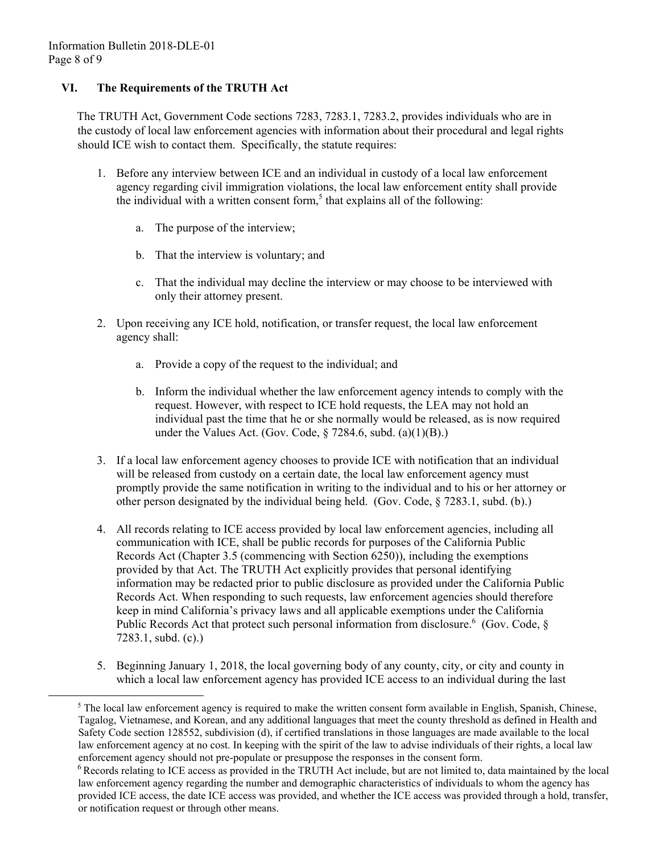$\overline{a}$ 

# **VI. The Requirements of the TRUTH Act**

The TRUTH Act, Government Code sections 7283, 7283.1, 7283.2, provides individuals who are in the custody of local law enforcement agencies with information about their procedural and legal rights should ICE wish to contact them. Specifically, the statute requires:

- 1. Before any interview between ICE and an individual in custody of a local law enforcement agency regarding civil immigration violations, the local law enforcement entity shall provide the individual with a written consent form,<sup>5</sup> that explains all of the following:
	- a. The purpose of the interview;
	- b. That the interview is voluntary; and
	- c. That the individual may decline the interview or may choose to be interviewed with only their attorney present.
- 2. Upon receiving any ICE hold, notification, or transfer request, the local law enforcement agency shall:
	- a. Provide a copy of the request to the individual; and
	- b. Inform the individual whether the law enforcement agency intends to comply with the request. However, with respect to ICE hold requests, the LEA may not hold an individual past the time that he or she normally would be released, as is now required under the Values Act. (Gov. Code,  $\S$  7284.6, subd. (a)(1)(B).)
- 3. If a local law enforcement agency chooses to provide ICE with notification that an individual will be released from custody on a certain date, the local law enforcement agency must promptly provide the same notification in writing to the individual and to his or her attorney or other person designated by the individual being held. (Gov. Code, § 7283.1, subd. (b).)
- 4. All records relating to ICE access provided by local law enforcement agencies, including all communication with ICE, shall be public records for purposes of the California Public Records Act (Chapter 3.5 (commencing with Section 6250)), including the exemptions provided by that Act. The TRUTH Act explicitly provides that personal identifying information may be redacted prior to public disclosure as provided under the California Public Records Act. When responding to such requests, law enforcement agencies should therefore keep in mind California's privacy laws and all applicable exemptions under the California Public Records Act that protect such personal information from disclosure.<sup>6</sup> (Gov. Code, § 7283.1, subd. (c).)
- 5. Beginning January 1, 2018, the local governing body of any county, city, or city and county in which a local law enforcement agency has provided ICE access to an individual during the last

 law enforcement agency at no cost. In keeping with the spirit of the law to advise individuals of their rights, a local law  $<sup>5</sup>$  The local law enforcement agency is required to make the written consent form available in English, Spanish, Chinese,</sup> Tagalog, Vietnamese, and Korean, and any additional languages that meet the county threshold as defined in Health and Safety Code section 128552, subdivision (d), if certified translations in those languages are made available to the local enforcement agency should not pre-populate or presuppose the responses in the consent form.

 provided ICE access, the date ICE access was provided, and whether the ICE access was provided through a hold, transfer, <sup>6</sup> Records relating to ICE access as provided in the TRUTH Act include, but are not limited to, data maintained by the local law enforcement agency regarding the number and demographic characteristics of individuals to whom the agency has or notification request or through other means.